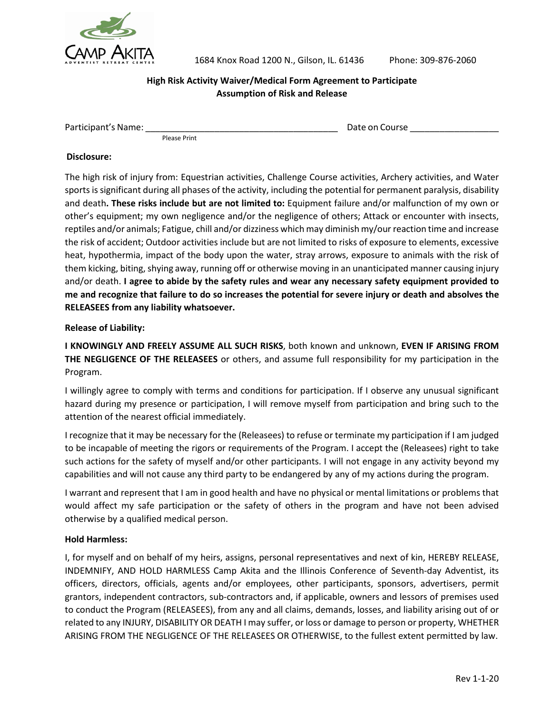

1684 Knox Road 1200 N., Gilson, IL. 61436 Phone: 309-876-2060

#### **High Risk Activity Waiver/Medical Form Agreement to Participate Assumption of Risk and Release**

Participant's Name: \_\_\_\_\_\_\_\_\_\_\_\_\_\_\_\_\_\_\_\_\_\_\_\_\_\_\_\_\_\_\_\_\_\_\_\_\_\_\_ Date on Course \_\_\_\_\_\_\_\_\_\_\_\_\_\_\_\_\_\_

Please Print

#### **Disclosure:**

The high risk of injury from: Equestrian activities, Challenge Course activities, Archery activities, and Water sports is significant during all phases of the activity, including the potential for permanent paralysis, disability and death**. These risks include but are not limited to:** Equipment failure and/or malfunction of my own or other's equipment; my own negligence and/or the negligence of others; Attack or encounter with insects, reptiles and/or animals; Fatigue, chill and/or dizziness which may diminish my/our reaction time and increase the risk of accident; Outdoor activities include but are not limited to risks of exposure to elements, excessive heat, hypothermia, impact of the body upon the water, stray arrows, exposure to animals with the risk of them kicking, biting, shying away, running off or otherwise moving in an unanticipated manner causing injury and/or death. **I agree to abide by the safety rules and wear any necessary safety equipment provided to me and recognize that failure to do so increases the potential for severe injury or death and absolves the RELEASEES from any liability whatsoever.**

#### **Release of Liability:**

**I KNOWINGLY AND FREELY ASSUME ALL SUCH RISKS**, both known and unknown, **EVEN IF ARISING FROM THE NEGLIGENCE OF THE RELEASEES** or others, and assume full responsibility for my participation in the Program.

I willingly agree to comply with terms and conditions for participation. If I observe any unusual significant hazard during my presence or participation, I will remove myself from participation and bring such to the attention of the nearest official immediately.

I recognize that it may be necessary for the (Releasees) to refuse or terminate my participation if I am judged to be incapable of meeting the rigors or requirements of the Program. I accept the (Releasees) right to take such actions for the safety of myself and/or other participants. I will not engage in any activity beyond my capabilities and will not cause any third party to be endangered by any of my actions during the program.

I warrant and represent that I am in good health and have no physical or mental limitations or problems that would affect my safe participation or the safety of others in the program and have not been advised otherwise by a qualified medical person.

#### **Hold Harmless:**

I, for myself and on behalf of my heirs, assigns, personal representatives and next of kin, HEREBY RELEASE, INDEMNIFY, AND HOLD HARMLESS Camp Akita and the Illinois Conference of Seventh-day Adventist, its officers, directors, officials, agents and/or employees, other participants, sponsors, advertisers, permit grantors, independent contractors, sub-contractors and, if applicable, owners and lessors of premises used to conduct the Program (RELEASEES), from any and all claims, demands, losses, and liability arising out of or related to any INJURY, DISABILITY OR DEATH I may suffer, or loss or damage to person or property, WHETHER ARISING FROM THE NEGLIGENCE OF THE RELEASEES OR OTHERWISE, to the fullest extent permitted by law.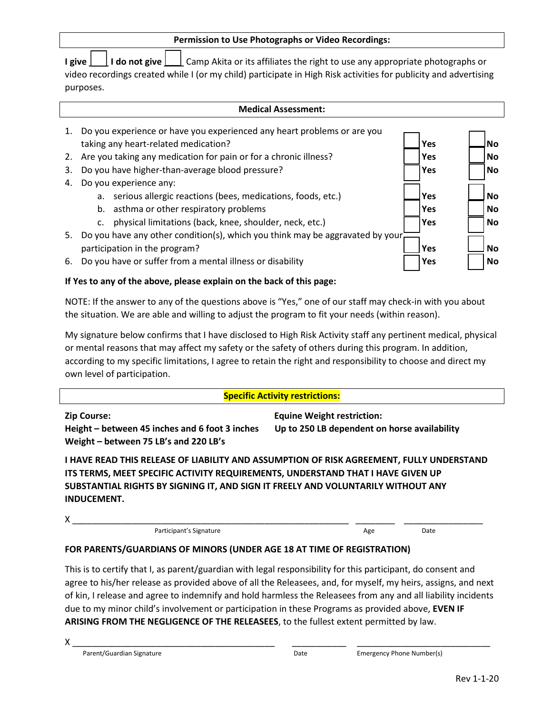| <b>Permission to Use Photographs or Video Recordings:</b>                                                            |     |           |  |  |  |  |
|----------------------------------------------------------------------------------------------------------------------|-----|-----------|--|--|--|--|
| <b>I do not give</b> <u>I</u> Camp Akita or its affiliates the right to use any appropriate photographs or<br>I give |     |           |  |  |  |  |
| video recordings created while I (or my child) participate in High Risk activities for publicity and advertising     |     |           |  |  |  |  |
| purposes.                                                                                                            |     |           |  |  |  |  |
|                                                                                                                      |     |           |  |  |  |  |
| <b>Medical Assessment:</b>                                                                                           |     |           |  |  |  |  |
| Do you experience or have you experienced any heart problems or are you<br>1.                                        |     |           |  |  |  |  |
| taking any heart-related medication?                                                                                 | Yes | <b>No</b> |  |  |  |  |
| Are you taking any medication for pain or for a chronic illness?<br>2.                                               | Yes | No.       |  |  |  |  |
| Do you have higher-than-average blood pressure?<br>Yes<br>No.<br>3.                                                  |     |           |  |  |  |  |
| Do you experience any:<br>4.                                                                                         |     |           |  |  |  |  |
| serious allergic reactions (bees, medications, foods, etc.)<br>a.                                                    | Yes | <b>No</b> |  |  |  |  |
| asthma or other respiratory problems<br>b.                                                                           | Yes | <b>No</b> |  |  |  |  |
| physical limitations (back, knee, shoulder, neck, etc.)<br>c.                                                        | Yes | No        |  |  |  |  |
| Do you have any other condition(s), which you think may be aggravated by your.<br>5.                                 |     |           |  |  |  |  |

- participation in the program? **Yes** No and The program?
- 6. Do you have or suffer from a mental illness or disability *No* **Wes**  $\begin{array}{|c|c|c|c|c|}\n\hline\n\end{array}$  **Wes**  $\begin{array}{|c|c|c|c|c|c|}\n\hline\n\end{array}$

## **If Yes to any of the above, please explain on the back of this page:**

NOTE: If the answer to any of the questions above is "Yes," one of our staff may check-in with you about the situation. We are able and willing to adjust the program to fit your needs (within reason).

My signature below confirms that I have disclosed to High Risk Activity staff any pertinent medical, physical or mental reasons that may affect my safety or the safety of others during this program. In addition, according to my specific limitations, I agree to retain the right and responsibility to choose and direct my own level of participation.

## **Specific Activity restrictions:**

**Zip Course: Equine Weight restriction: Height – between 45 inches and 6 foot 3 inches Up to 250 LB dependent on horse availability Weight – between 75 LB's and 220 LB's**

**I HAVE READ THIS RELEASE OF LIABILITY AND ASSUMPTION OF RISK AGREEMENT, FULLY UNDERSTAND ITS TERMS, MEET SPECIFIC ACTIVITY REQUIREMENTS, UNDERSTAND THAT I HAVE GIVEN UP SUBSTANTIAL RIGHTS BY SIGNING IT, AND SIGN IT FREELY AND VOLUNTARILY WITHOUT ANY INDUCEMENT.** 

| . . |  |  |
|-----|--|--|
|     |  |  |

Participant's Signature **Age Date** Date Date

| ۰.<br>$\sim$<br>۰. |  |
|--------------------|--|
|                    |  |

## **FOR PARENTS/GUARDIANS OF MINORS (UNDER AGE 18 AT TIME OF REGISTRATION)**

This is to certify that I, as parent/guardian with legal responsibility for this participant, do consent and agree to his/her release as provided above of all the Releasees, and, for myself, my heirs, assigns, and next of kin, I release and agree to indemnify and hold harmless the Releasees from any and all liability incidents due to my minor child's involvement or participation in these Programs as provided above, **EVEN IF ARISING FROM THE NEGLIGENCE OF THE RELEASEES**, to the fullest extent permitted by law.